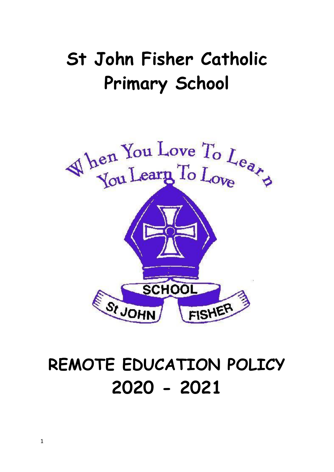# **St John Fisher Catholic Primary School**



# **REMOTE EDUCATION POLICY 2020 - 2021**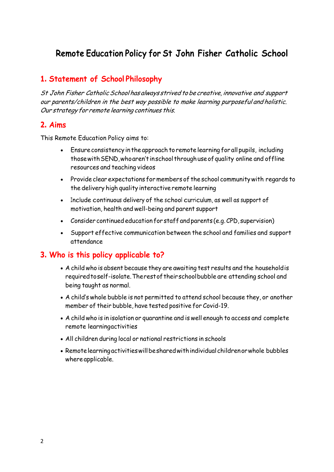# **Remote Education Policy for St John Fisher Catholic School**

# **1. Statement of School Philosophy**

St John Fisher Catholic School has always strived to be creative, innovative and support our parents/children in the best way possible to make learning purposeful and holistic. Our strategy for remote learning continues this.

## **2. Aims**

This Remote Education Policy aims to:

- Ensureconsistency in the approach toremote learning for all pupils, including thosewithSEND,whoaren'tinschool throughuseofquality online and offline resources and teaching videos
- Provide clear expectations formembers of theschool communitywith regards to the delivery high quality interactive remote learning
- Include continuous delivery of the school curriculum, as well as support of motivation, health and well-being and parent support
- Consider continuededucation for staff andparents (e.g.CPD, supervision)
- Support effective communication between the school and families and support attendance

## **3. Who is this policy applicable to?**

- A child who is absent because they are awaiting test results and the householdis requiredtoself-isolate.Therestoftheirschoolbubble are attending school and being taught as normal.
- A child's whole bubble is not permitted to attend school because they, or another member of their bubble, have tested positive for Covid-19.
- A child who is in isolation or quarantine and is well enough to access and complete remote learningactivities
- All children during local or national restrictions in schools
- Remotelearningactivitieswillbesharedwithindividualchildrenorwhole bubbles where applicable.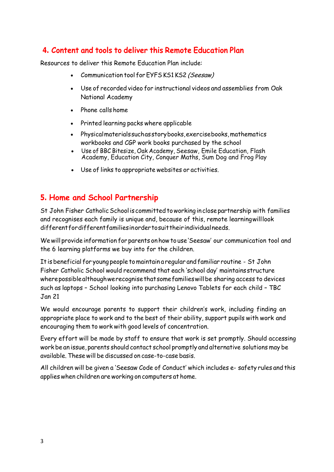# **4. Content and tools to deliver this Remote Education Plan**

Resources to deliver this Remote Education Plan include:

- Communication tool for EYFS KS1 KS2 (Seesaw)
- Use of recorded video for instructional videos and assemblies from Oak National Academy
- Phone calls home
- Printed learning packs where applicable
- Physicalmaterialssuchasstorybooks,exercisebooks, mathematics workbooks and CGP work books purchased by the school
- Use of BBC Bitesize, Oak Academy, Seesaw, Emile Education, Flash Academy, Education City, Conquer Maths, Sum Dog and Frog Play
- Use of links to appropriate websites or activities.

# **5. Home and School Partnership**

St John Fisher Catholic School is committed to working in close partnership with families and recognises each family is unique and, because of this, remote learningwilllook differentfordifferentfamiliesinordertosuittheirindividualneeds.

Wewill provide information for parents onhowto use 'Seesaw' our communication tool and the 6 learning platforms we buy into for the children.

It isbeneficial for young people tomaintain a regular andfamiliar routine - St John Fisher Catholic School would recommend that each 'school day' maintainsstructure wherepossiblealthoughwerecognisethatsomefamilieswillbe sharing access to devices such as laptops – School looking into purchasing Lenovo Tablets for each child – TBC Jan 21

We would encourage parents to support their children's work, including finding an appropriate place to work and to the best of their ability, support pupils with work and encouraging them to work with good levels of concentration.

Every effort will be made by staff to ensure that work is set promptly. Should accessing work be an issue, parents should contact school promptly and alternative solutions may be available. These will be discussed on case-to-case basis.

All children will be given a 'Seesaw Code of Conduct' which includes e- safety rules and this applieswhen children areworking on computers at home.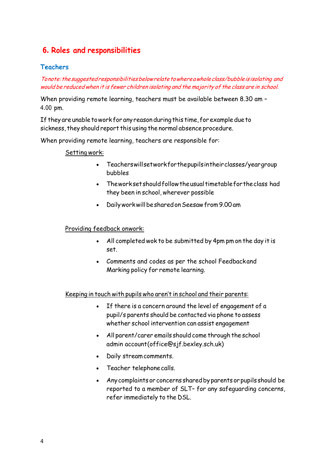# **6. Roles and responsibilities**

## **Teachers**

Tonote: the suggested responsibilities below relate to where a whole class/bubble is isolating and would be reduced when it is fewer children isolating and the majority of the class are in school.

When providing remote learning, teachers must be available between 8.30 am – 4.00 pm.

If they are unable to work for any reason during this time, for example due to sickness, they should report this using the normal absence procedure.

When providing remote learning, teachers are responsible for:

#### Setting work:

- Teacherswillsetworkforthepupilsintheirclasses/yeargroup bubbles
- Theworksetshouldfollowtheusualtimetablefortheclass had they been in school, wherever possible
- DailyworkwillbesharedonSeesawfrom9.00am

#### Providing feedback onwork:

- All completed wok to be submitted by 4pm pm on the day it is set.
- Comments and codes as per the school Feedbackand Marking policy for remote learning.

Keeping in touch with pupils who aren't in school and their parents:

- If there is a concern around the level of engagement of a pupil/s parents should be contacted via phone to assess whether school intervention can assist engagement
- All parent/carer emails should come through the school admin account(office@sjf.bexley.sch.uk)
- Daily streamcomments.
- Teacher telephone calls.
- Any complaints or concerns shared by parents or pupils should be reported to a member of SLT– for any safeguarding concerns, refer immediately to the DSL.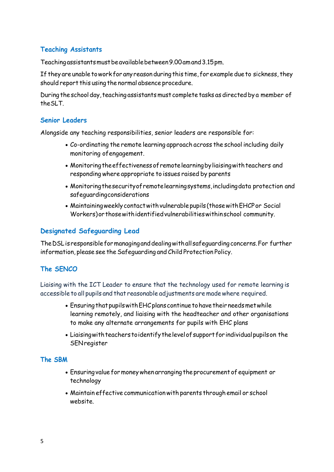## **Teaching Assistants**

Teachingassistantsmustbeavailablebetween9.00amand3.15pm.

If they are unable to work for any reason during this time, for example due to sickness, they should report this using the normal absence procedure.

During the school day, teaching assistants must complete tasks as directed by a member of theSLT.

#### **Senior Leaders**

Alongside any teaching responsibilities, senior leaders are responsible for:

- Co-ordinating the remote learning approach across the school including daily monitoring ofengagement.
- Monitoringtheeffectivenessofremotelearningbyliaisingwithteachers and responding where appropriate to issues raised by parents
- Monitoringthesecurityofremotelearningsystems,includingdata protection and safeguardingconsiderations
- Maintainingweeklycontactwithvulnerable pupils (thosewithEHCPor Social Workers) or those with identified vulnerabilities withinschool community.

## **Designated Safeguarding Lead**

TheDSLisresponsibleformanaginganddealingwithallsafeguardingconcerns.For further information, please see the Safeguarding and Child Protection Policy.

## **The SENCO**

Liaising with the ICT Leader to ensure that the technology used for remote learning is accessible to all pupils and that reasonable adjustments are madewhere required.

- Ensuring that pupils with EHC plans continue to have their needs met while learning remotely, and liaising with the headteacher and other organisations to make any alternate arrangements for pupils with EHC plans
- Liaisingwithteacherstoidentifythelevelofsupportforindividualpupilson the **SENregister**

## **The SBM**

- Ensuringvalue formoneywhen arranging theprocurement of equipment or technology
- Maintain effective communicationwith parents through email or school website.